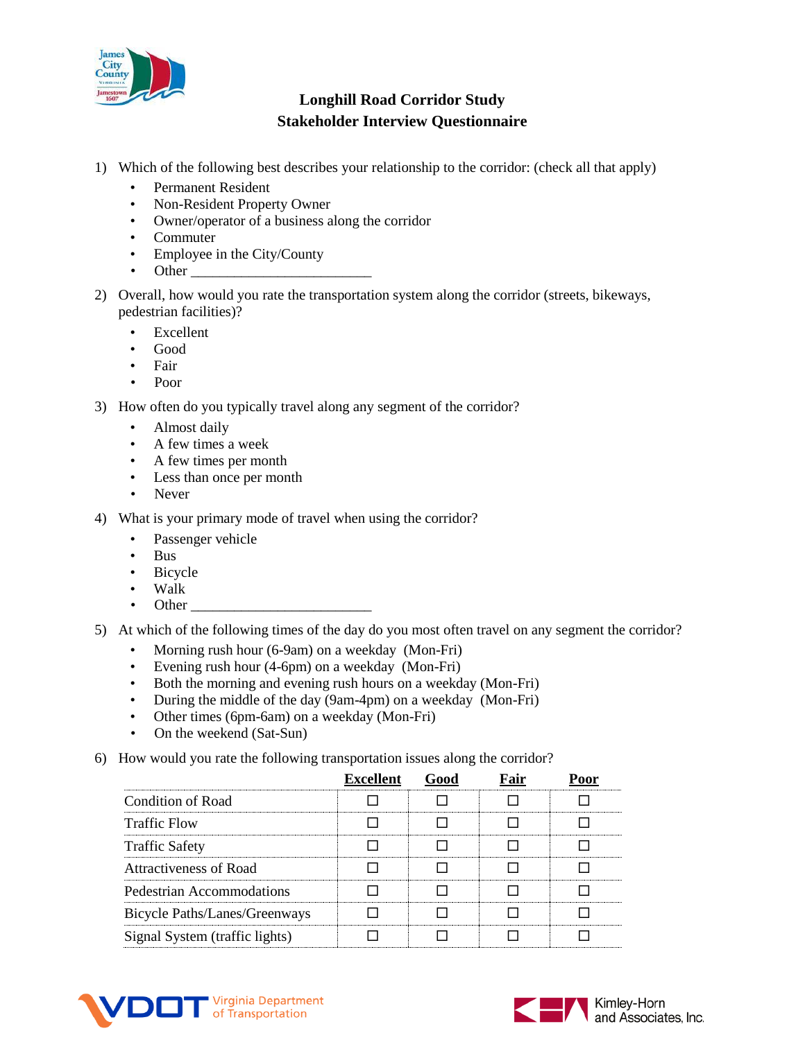

- 1) Which of the following best describes your relationship to the corridor: (check all that apply)
	- Permanent Resident
	- Non-Resident Property Owner
	- Owner/operator of a business along the corridor
	- Commuter
	- Employee in the City/County
	- Other
- 2) Overall, how would you rate the transportation system along the corridor (streets, bikeways, pedestrian facilities)?
	- Excellent
	- Good
	- Fair
	- Poor
- 3) How often do you typically travel along any segment of the corridor?
	- Almost daily
	- A few times a week
	- A few times per month
	- Less than once per month
	- Never
- 4) What is your primary mode of travel when using the corridor?
	- Passenger vehicle
	- Bus
	- Bicycle
	- Walk
	- Other
- 5) At which of the following times of the day do you most often travel on any segment the corridor?
	- Morning rush hour (6-9am) on a weekday (Mon-Fri)
	- Evening rush hour (4-6pm) on a weekday (Mon-Fri)
	- Both the morning and evening rush hours on a weekday (Mon-Fri)
	- During the middle of the day (9am-4pm) on a weekday (Mon-Fri)
	- Other times (6pm-6am) on a weekday (Mon-Fri)
	- On the weekend (Sat-Sun)
- 6) How would you rate the following transportation issues along the corridor?

|                                | <b>Excellent</b> |  |  |
|--------------------------------|------------------|--|--|
| Condition of Road              |                  |  |  |
| <b>Traffic Flow</b>            |                  |  |  |
| <b>Traffic Safety</b>          |                  |  |  |
| Attractiveness of Road         |                  |  |  |
| Pedestrian Accommodations      |                  |  |  |
| Bicycle Paths/Lanes/Greenways  |                  |  |  |
| Signal System (traffic lights) |                  |  |  |



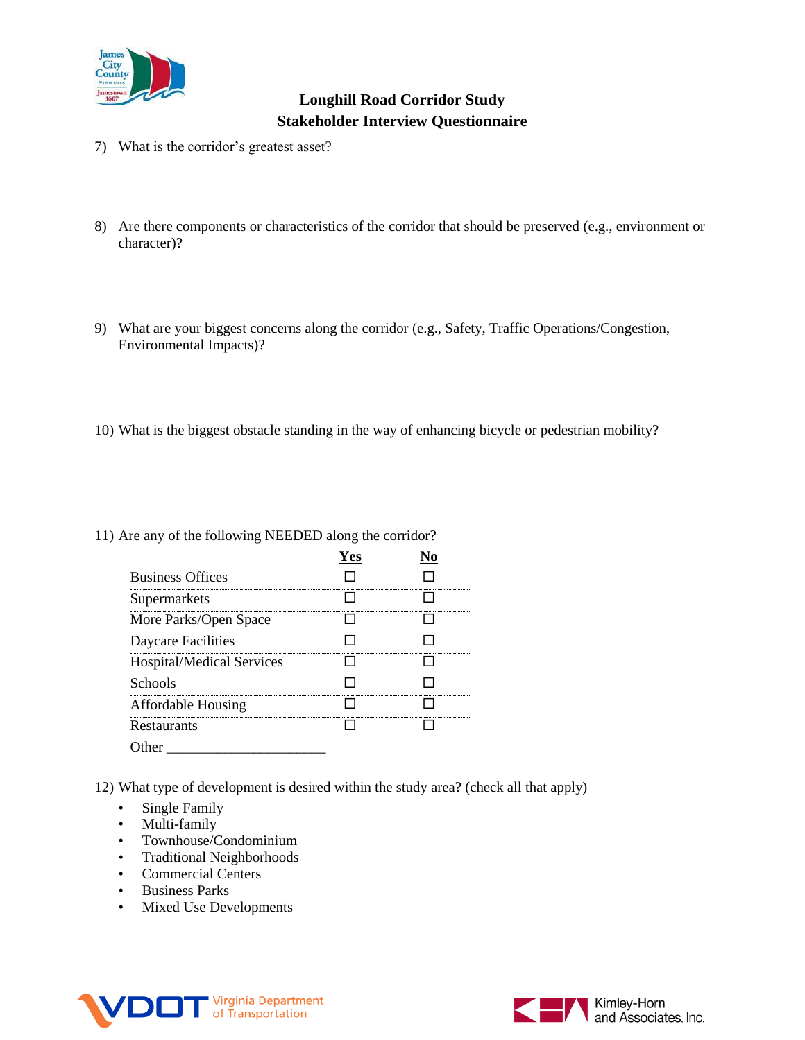

- 7) What is the corridor's greatest asset?
- 8) Are there components or characteristics of the corridor that should be preserved (e.g., environment or character)?
- 9) What are your biggest concerns along the corridor (e.g., Safety, Traffic Operations/Congestion, Environmental Impacts)?
- 10) What is the biggest obstacle standing in the way of enhancing bicycle or pedestrian mobility?

| 11) Are any of the following NEEDED along the corridor? |  |  |  |
|---------------------------------------------------------|--|--|--|
|---------------------------------------------------------|--|--|--|

| <b>Business Offices</b>          |  |
|----------------------------------|--|
| Supermarkets                     |  |
| More Parks/Open Space            |  |
| Daycare Facilities               |  |
| <b>Hospital/Medical Services</b> |  |
| Schools                          |  |
| <b>Affordable Housing</b>        |  |
| Restaurants                      |  |
| :her                             |  |

12) What type of development is desired within the study area? (check all that apply)

- Single Family
- Multi-family
- Townhouse/Condominium
- Traditional Neighborhoods
- Commercial Centers
- Business Parks
- Mixed Use Developments



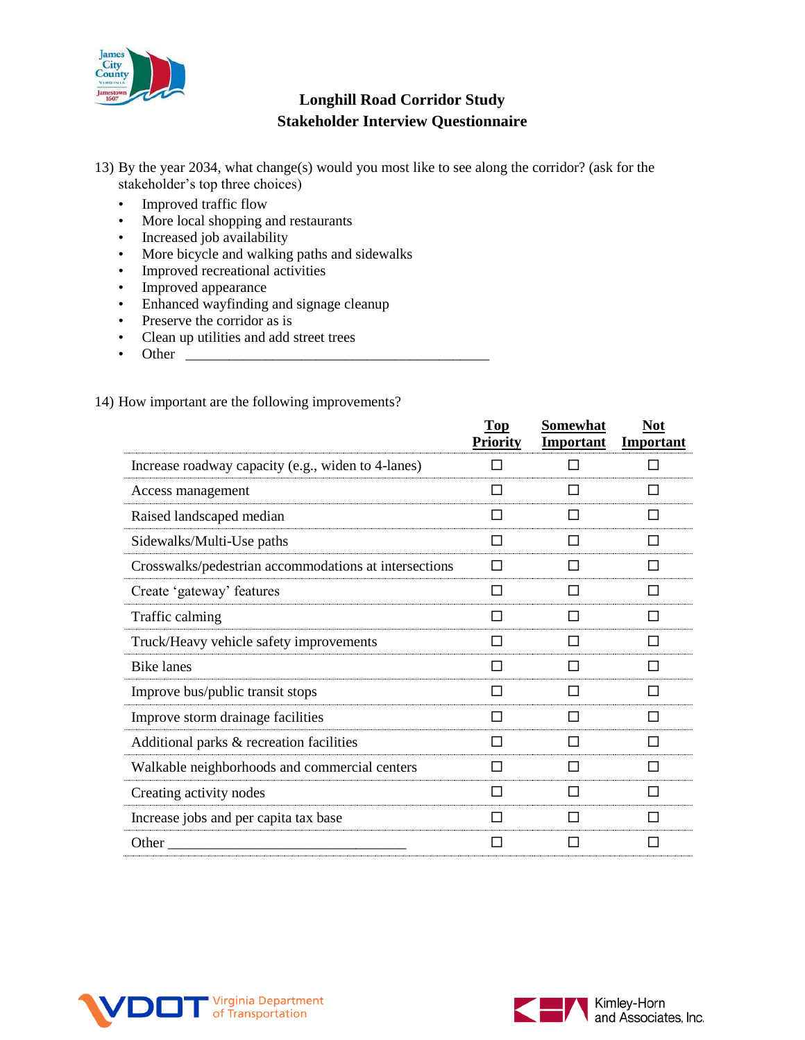

- 13) By the year 2034, what change(s) would you most like to see along the corridor? (ask for the stakeholder's top three choices)
	- Improved traffic flow
	- More local shopping and restaurants
	- Increased job availability
	- More bicycle and walking paths and sidewalks
	- Improved recreational activities
	- Improved appearance
	- Enhanced wayfinding and signage cleanup
	- Preserve the corridor as is
	- Clean up utilities and add street trees
	- Other \_\_\_\_\_\_\_\_\_\_\_\_\_\_\_\_\_\_\_\_\_\_\_\_\_\_\_\_\_\_\_\_\_\_\_\_\_\_\_\_\_\_

### 14) How important are the following improvements?

|                                                       | Top             | Somewhat         | <b>Not</b>       |
|-------------------------------------------------------|-----------------|------------------|------------------|
|                                                       | <b>Priority</b> | <b>Important</b> | <b>Important</b> |
| Increase roadway capacity (e.g., widen to 4-lanes)    |                 |                  |                  |
| Access management                                     |                 |                  |                  |
| Raised landscaped median                              | H               | ΙI               | H                |
| Sidewalks/Multi-Use paths                             | ΙI              | H                | П                |
| Crosswalks/pedestrian accommodations at intersections |                 |                  | $\mathcal{L}$    |
| Create 'gateway' features                             |                 |                  | H                |
| Traffic calming                                       | П               | ΙI               | П                |
| Truck/Heavy vehicle safety improvements               | ΙI              | $\mathsf{L}$     | П                |
| <b>Bike lanes</b>                                     | П               | $\mathsf{L}$     | $\mathcal{L}$    |
| Improve bus/public transit stops                      | H               | ΙI               |                  |
| Improve storm drainage facilities                     | ΙI              | ΙI               | ΙI               |
| Additional parks & recreation facilities              |                 |                  | H                |
| Walkable neighborhoods and commercial centers         |                 |                  | H                |
| Creating activity nodes                               | ΙI              |                  | $\mathcal{L}$    |
| Increase jobs and per capita tax base                 | ΙI              | ΙI               | ΙI               |
| Other                                                 |                 |                  |                  |
|                                                       |                 |                  |                  |



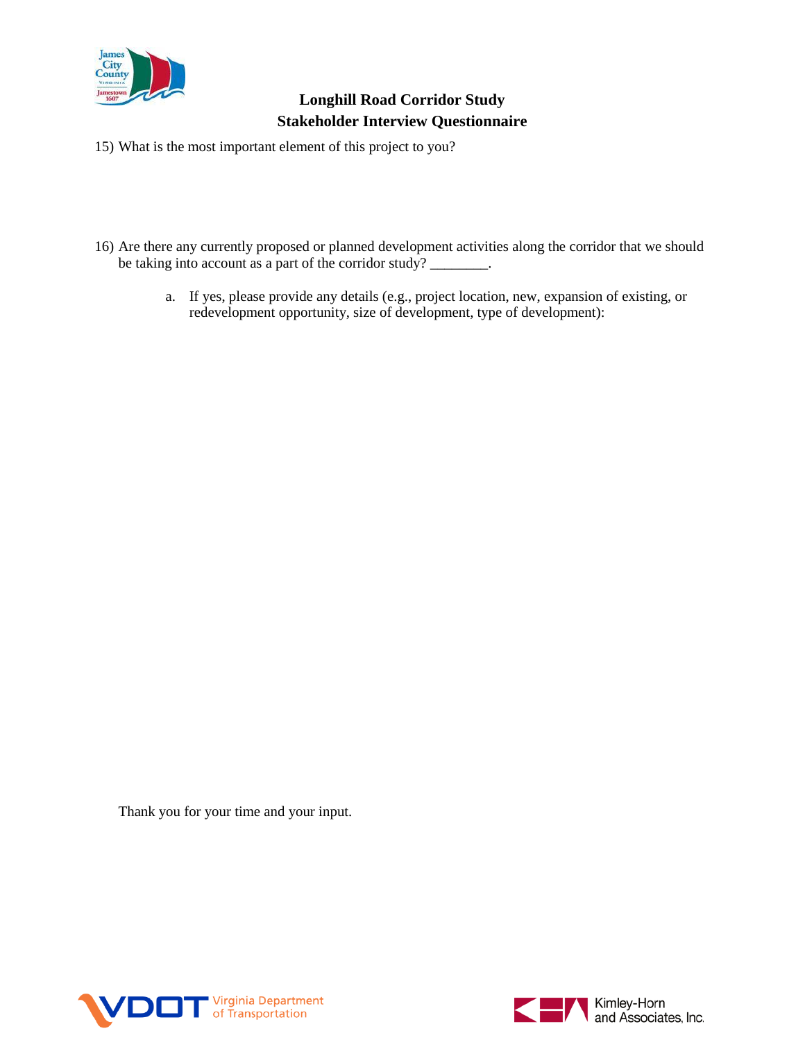

- 15) What is the most important element of this project to you?
- 16) Are there any currently proposed or planned development activities along the corridor that we should be taking into account as a part of the corridor study? \_\_\_\_\_\_\_\_.
	- a. If yes, please provide any details (e.g., project location, new, expansion of existing, or redevelopment opportunity, size of development, type of development):

Thank you for your time and your input.



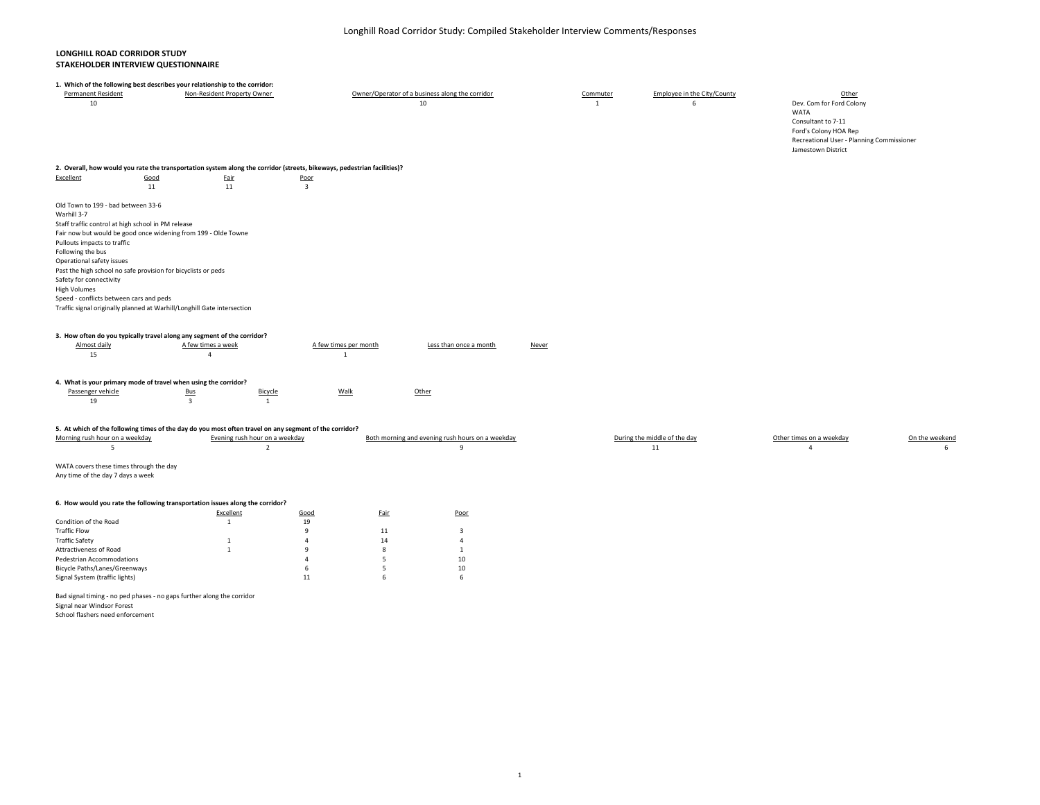### **LONGHILL ROAD CORRIDOR STUDY STAKEHOLDER INTERVIEW QUESTIONNAIRE**

|                                                                                                                                                                                                                                                                                                                                  | 1. Which of the following best describes your relationship to the corridor:                                                                                                                                                                                                                                                                                                                      |                                |                                               |                                                       |                          |                                  |                                                                                                                                                             |                |
|----------------------------------------------------------------------------------------------------------------------------------------------------------------------------------------------------------------------------------------------------------------------------------------------------------------------------------|--------------------------------------------------------------------------------------------------------------------------------------------------------------------------------------------------------------------------------------------------------------------------------------------------------------------------------------------------------------------------------------------------|--------------------------------|-----------------------------------------------|-------------------------------------------------------|--------------------------|----------------------------------|-------------------------------------------------------------------------------------------------------------------------------------------------------------|----------------|
| Permanent Resident<br>10                                                                                                                                                                                                                                                                                                         | Non-Resident Property Owner                                                                                                                                                                                                                                                                                                                                                                      |                                |                                               | Owner/Operator of a business along the corridor<br>10 | Commuter<br>$\mathbf{1}$ | Employee in the City/County<br>6 | Other<br>Dev. Com for Ford Colony<br>WATA<br>Consultant to 7-11<br>Ford's Colony HOA Rep<br>Recreational User - Planning Commissioner<br>Jamestown District |                |
|                                                                                                                                                                                                                                                                                                                                  | 2. Overall, how would you rate the transportation system along the corridor (streets, bikeways, pedestrian facilities)?                                                                                                                                                                                                                                                                          |                                |                                               |                                                       |                          |                                  |                                                                                                                                                             |                |
| Excellent                                                                                                                                                                                                                                                                                                                        | Good<br><b>Fair</b>                                                                                                                                                                                                                                                                                                                                                                              | Poor                           |                                               |                                                       |                          |                                  |                                                                                                                                                             |                |
|                                                                                                                                                                                                                                                                                                                                  | 11<br>11                                                                                                                                                                                                                                                                                                                                                                                         | $\overline{\mathbf{3}}$        |                                               |                                                       |                          |                                  |                                                                                                                                                             |                |
|                                                                                                                                                                                                                                                                                                                                  |                                                                                                                                                                                                                                                                                                                                                                                                  |                                |                                               |                                                       |                          |                                  |                                                                                                                                                             |                |
| Old Town to 199 - bad between 33-6<br>Warhill 3-7<br>Staff traffic control at high school in PM release<br>Pullouts impacts to traffic<br>Following the bus<br>Operational safety issues<br>Safety for connectivity<br><b>High Volumes</b><br>Speed - conflicts between cars and peds<br>Almost daily<br>15<br>Passenger vehicle | Fair now but would be good once widening from 199 - Olde Towne<br>Past the high school no safe provision for bicyclists or peds<br>Traffic signal originally planned at Warhill/Longhill Gate intersection<br>3. How often do you typically travel along any segment of the corridor?<br>A few times a week<br>$\overline{4}$<br>4. What is your primary mode of travel when using the corridor? |                                | A few times per month<br>$\mathbf{1}$<br>Walk | Less than once a month<br>Other                       | <b>Never</b>             |                                  |                                                                                                                                                             |                |
|                                                                                                                                                                                                                                                                                                                                  | <b>Bus</b>                                                                                                                                                                                                                                                                                                                                                                                       | Bicycle                        |                                               |                                                       |                          |                                  |                                                                                                                                                             |                |
| 19                                                                                                                                                                                                                                                                                                                               | $\overline{\mathbf{3}}$                                                                                                                                                                                                                                                                                                                                                                          | <sup>1</sup>                   |                                               |                                                       |                          |                                  |                                                                                                                                                             |                |
|                                                                                                                                                                                                                                                                                                                                  |                                                                                                                                                                                                                                                                                                                                                                                                  |                                |                                               |                                                       |                          |                                  |                                                                                                                                                             |                |
|                                                                                                                                                                                                                                                                                                                                  | 5. At which of the following times of the day do you most often travel on any segment of the corridor?                                                                                                                                                                                                                                                                                           |                                |                                               |                                                       |                          |                                  |                                                                                                                                                             |                |
| Morning rush hour on a weekday                                                                                                                                                                                                                                                                                                   |                                                                                                                                                                                                                                                                                                                                                                                                  | Evening rush hour on a weekday |                                               | Both morning and evening rush hours on a weekday      |                          | During the middle of the day     | Other times on a weekday                                                                                                                                    | On the weekend |
| 5                                                                                                                                                                                                                                                                                                                                |                                                                                                                                                                                                                                                                                                                                                                                                  | $\overline{2}$                 |                                               | $\overline{9}$                                        |                          | 11                               | $\overline{a}$                                                                                                                                              | 6              |
|                                                                                                                                                                                                                                                                                                                                  |                                                                                                                                                                                                                                                                                                                                                                                                  |                                |                                               |                                                       |                          |                                  |                                                                                                                                                             |                |
| WATA covers these times through the day                                                                                                                                                                                                                                                                                          |                                                                                                                                                                                                                                                                                                                                                                                                  |                                |                                               |                                                       |                          |                                  |                                                                                                                                                             |                |
| Any time of the day 7 days a week                                                                                                                                                                                                                                                                                                |                                                                                                                                                                                                                                                                                                                                                                                                  |                                |                                               |                                                       |                          |                                  |                                                                                                                                                             |                |
|                                                                                                                                                                                                                                                                                                                                  |                                                                                                                                                                                                                                                                                                                                                                                                  |                                |                                               |                                                       |                          |                                  |                                                                                                                                                             |                |
|                                                                                                                                                                                                                                                                                                                                  |                                                                                                                                                                                                                                                                                                                                                                                                  |                                |                                               |                                                       |                          |                                  |                                                                                                                                                             |                |
|                                                                                                                                                                                                                                                                                                                                  | 6. How would you rate the following transportation issues along the corridor?                                                                                                                                                                                                                                                                                                                    |                                |                                               |                                                       |                          |                                  |                                                                                                                                                             |                |
|                                                                                                                                                                                                                                                                                                                                  | Excellent                                                                                                                                                                                                                                                                                                                                                                                        | Good                           | <b>Fair</b>                                   | Poor                                                  |                          |                                  |                                                                                                                                                             |                |
| Condition of the Road                                                                                                                                                                                                                                                                                                            | <sup>1</sup>                                                                                                                                                                                                                                                                                                                                                                                     | 19                             |                                               |                                                       |                          |                                  |                                                                                                                                                             |                |
| <b>Traffic Flow</b>                                                                                                                                                                                                                                                                                                              |                                                                                                                                                                                                                                                                                                                                                                                                  | $\overline{9}$<br>$\Delta$     | 11                                            | $\overline{\mathbf{3}}$<br>$\overline{4}$             |                          |                                  |                                                                                                                                                             |                |
| <b>Traffic Safety</b>                                                                                                                                                                                                                                                                                                            | 1<br>$\overline{1}$                                                                                                                                                                                                                                                                                                                                                                              | $\overline{9}$                 | 14<br>8                                       |                                                       |                          |                                  |                                                                                                                                                             |                |
| Attractiveness of Road<br>Pedestrian Accommodations                                                                                                                                                                                                                                                                              |                                                                                                                                                                                                                                                                                                                                                                                                  | $\Delta$                       | 5                                             | 1<br>10                                               |                          |                                  |                                                                                                                                                             |                |
| Bicycle Paths/Lanes/Greenways                                                                                                                                                                                                                                                                                                    |                                                                                                                                                                                                                                                                                                                                                                                                  | 6                              | 5                                             | 10                                                    |                          |                                  |                                                                                                                                                             |                |
|                                                                                                                                                                                                                                                                                                                                  |                                                                                                                                                                                                                                                                                                                                                                                                  | 11                             | 6                                             | 6                                                     |                          |                                  |                                                                                                                                                             |                |
| Signal System (traffic lights)                                                                                                                                                                                                                                                                                                   |                                                                                                                                                                                                                                                                                                                                                                                                  |                                |                                               |                                                       |                          |                                  |                                                                                                                                                             |                |
|                                                                                                                                                                                                                                                                                                                                  |                                                                                                                                                                                                                                                                                                                                                                                                  |                                |                                               |                                                       |                          |                                  |                                                                                                                                                             |                |

Bad signal timing ‐ no ped phases ‐ no gaps further along the corridor

Signal near Windsor Forest

School flashers need enforcement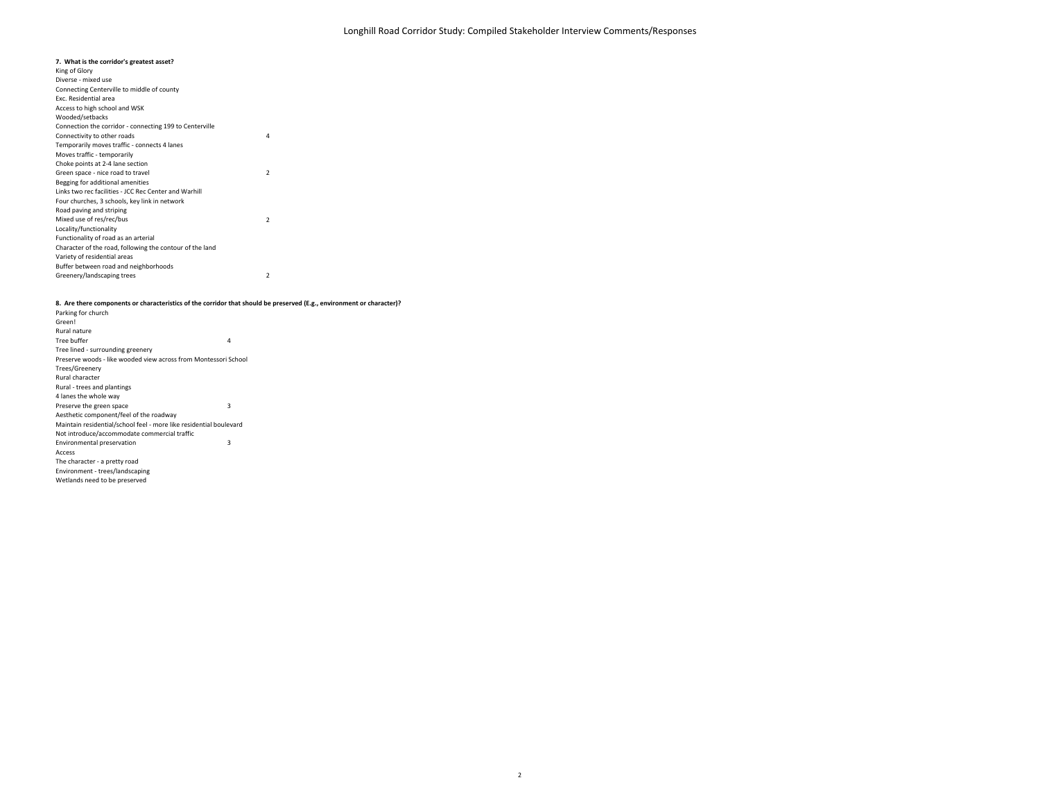#### **7. What is the corridor's greatest asset?**

King of Glory 4222 Buffer between road and neighborhoods Greenery/landscaping trees Mixed use of res/rec/bus Locality/functionality Functionality of road as an arterial Character of the road, following the contour of the land Variety of residential areas Green space ‐ nice road to travel Begging for additional amenities Links two rec facilities ‐ JCC Rec Center and Warhill Four churches, 3 schools, key link in network Road paving and striping Connection the corridor ‐ connecting 199 to Centerville Connectivity to other roads Temporarily moves traffic ‐ connects 4 lanes Moves traffic ‐ temporarily Choke points at 2‐4 lane section Diverse ‐ mixed use Connecting Centerville to middle of county Exc. Residential area Access to high school and WSK Wooded/setbacks

#### 8. Are there components or characteristics of the corridor that should be preserved (E.g., environment or character)?

Green! 433Access The character ‐ <sup>a</sup> pretty road Wetlands need to be preserved Environment ‐ trees/landscaping Aesthetic component/feel of the roadway Maintain residential/school feel ‐ more like residential boulevard Not introduce/accommodate commercial traffic Environmental preservation Trees/Greenery Rural character Rural ‐ trees and plantings 4 lanes the whole way Preserve the green space Parking for church Rural nature Tree buffer Tree lined ‐ surrounding greenery Preserve woods ‐ like wooded view across from Montessori School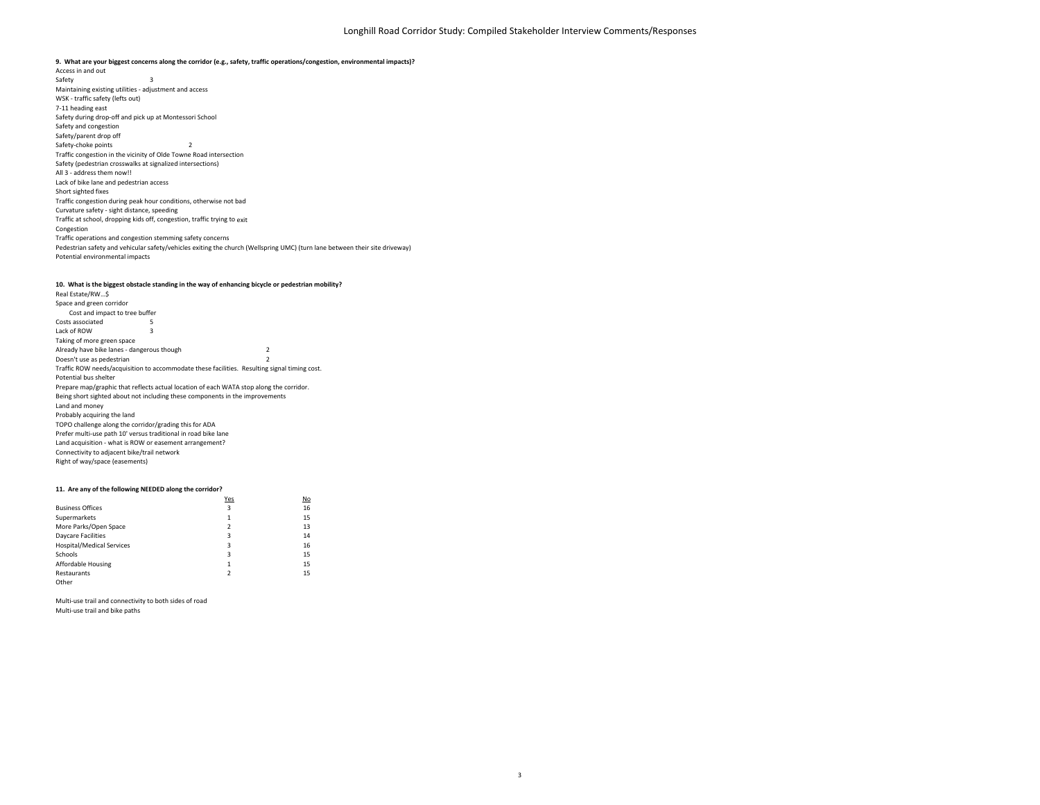Safety 3 2 Traffic congestion in the vicinity of Olde Towne Road intersection Potential environmental impacts Pedestrian safety and vehicular safety/vehicles exiting the church (Wellspring UMC) (turn lane between their site driveway) Curvature safety ‐ sight distance, speeding Traffic at school, dropping kids off, congestion, traffic trying to exit Congestion Traffic operations and congestion stemming safety concerns Safety (pedestrian crosswalks at signalized intersections) All 3 ‐ address them now!! Lack of bike lane and pedestrian access Short sighted fixes Traffic congestion during peak hour conditions, otherwise not bad Safety during drop‐off and pick up at Montessori School Safety and congestion Safety/parent drop off Safety‐choke points Access in and out Maintaining existing utilities ‐ adjustment and access WSK ‐ traffic safety (lefts out) 7‐11 heading east 9. What are your biggest concerns along the corridor (e.g., safety, traffic operations/congestion, environmental impacts)?

#### **10. What is the biggest obstacle standing in the way of enhancing bicycle or pedestrian mobility?**

5 32 2 Traffic ROW needs/acquisition to accommodate these facilities. Resulting signal timing cost. Right of way/space (easements) Potential bus shelter Prepare map/graphic that reflects actual location of each WATA stop along the corridor. Space and green corridor Connectivity to adjacent bike/trail network Land acquisition ‐ what is ROW or easement arrangement? Being short sighted about not including these components in the improvements Land and money Probably acquiring the land TOPO challenge along the corridor/grading this for ADA Prefer multi‐use path 10' versus traditional in road bike lane Already have bike lanes ‐ dangerous though Doesn't use as pedestrian Cost and impact to tree buffer Costs associated Lack of ROW Taking of more green space Real Estate/RW…\$

#### **11. Are any of the following NEEDED along the corridor?**

|                                  | Yes | No |
|----------------------------------|-----|----|
| <b>Business Offices</b>          | 3   | 16 |
| Supermarkets                     | 1   | 15 |
| More Parks/Open Space            | 2   | 13 |
| <b>Daycare Facilities</b>        | 3   | 14 |
| <b>Hospital/Medical Services</b> | 3   | 16 |
| Schools                          | 3   | 15 |
| Affordable Housing               | 1   | 15 |
| Restaurants                      | 2   | 15 |
| Other                            |     |    |

Multi‐use trail and connectivity to both sides of road Multi‐use trail and bike paths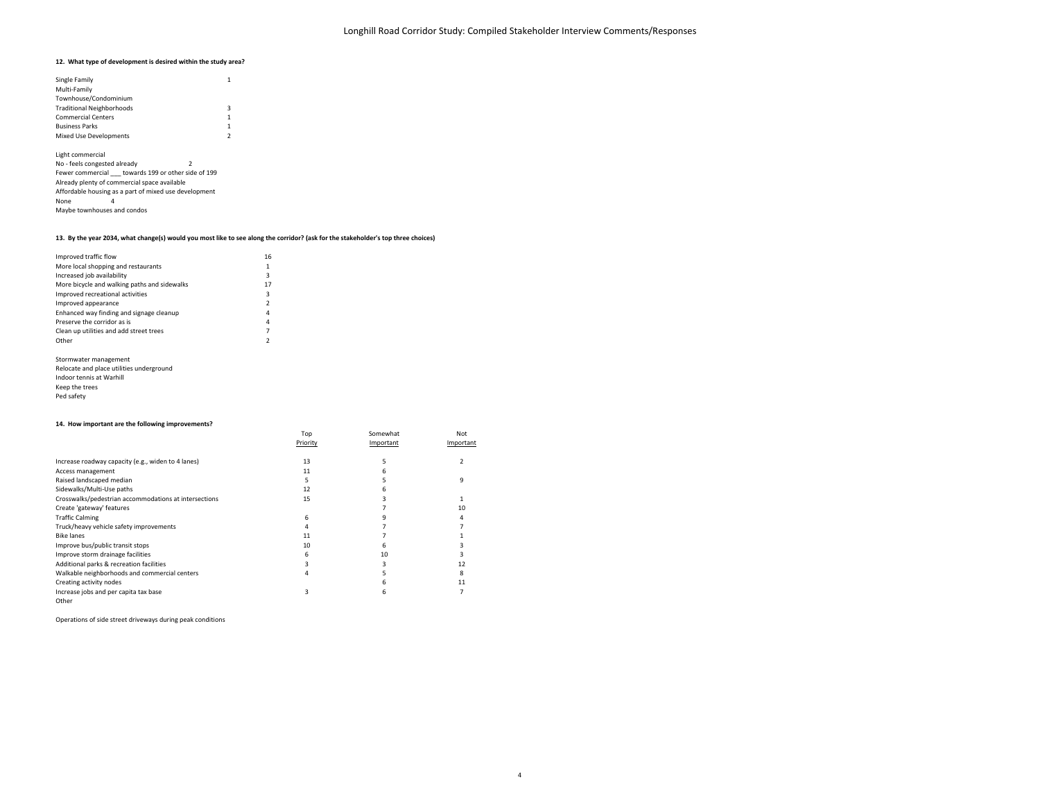#### **12. What type of development is desired within the study area?**

| Single Family                    |   |
|----------------------------------|---|
| Multi-Family                     |   |
| Townhouse/Condominium            |   |
| <b>Traditional Neighborhoods</b> | з |
| <b>Commercial Centers</b>        | 1 |
| <b>Business Parks</b>            | 1 |
| <b>Mixed Use Developments</b>    | , |

2 No ‐ feels congested already Fewer commercial \_\_\_ towards 199 or other side of 199 None 4 Maybe townhouses and condos Light commercial Already plenty of commercial space available Affordable housing as <sup>a</sup> part of mixed use development

#### 13. By the year 2034, what change(s) would you most like to see along the corridor? (ask for the stakeholder's top three choices)

| Improved traffic flow                        | 16                       |
|----------------------------------------------|--------------------------|
| More local shopping and restaurants          | 1                        |
| Increased job availability                   | 3                        |
| More bicycle and walking paths and sidewalks | 17                       |
| Improved recreational activities             | 3                        |
| Improved appearance                          | $\overline{\phantom{a}}$ |
| Enhanced way finding and signage cleanup     | 4                        |
| Preserve the corridor as is                  | 4                        |
| Clean up utilities and add street trees      | 7                        |
| Other                                        | $\overline{\phantom{a}}$ |
|                                              |                          |

| Stormwater management                    |
|------------------------------------------|
| Relocate and place utilities underground |
| Indoor tennis at Warhill                 |
| Keep the trees                           |
| Ped safety                               |

#### **14. How important are the following improvements?**

| 14. How important are the following improvements?     |          |           |           |
|-------------------------------------------------------|----------|-----------|-----------|
|                                                       | Top      | Somewhat  | Not       |
|                                                       | Priority | Important | Important |
| Increase roadway capacity (e.g., widen to 4 lanes)    | 13       |           |           |
| Access management                                     | 11       |           |           |
| Raised landscaped median                              |          |           | q         |
| Sidewalks/Multi-Use paths                             | 12       | б         |           |
| Crosswalks/pedestrian accommodations at intersections | 15       |           |           |
| Create 'gateway' features                             |          |           | 10        |
| <b>Traffic Calming</b>                                | 6        |           |           |
| Truck/heavy vehicle safety improvements               |          |           |           |
| <b>Bike lanes</b>                                     | 11       |           |           |
| Improve bus/public transit stops                      | 10       | 6         |           |
| Improve storm drainage facilities                     | 6        | 10        |           |
| Additional parks & recreation facilities              |          |           | 12        |
| Walkable neighborhoods and commercial centers         | 4        |           |           |
| Creating activity nodes                               |          | h         | 11        |
| Increase jobs and per capita tax base                 | 3        | 6         |           |
| Other                                                 |          |           |           |

Operations of side street driveways during peak conditions